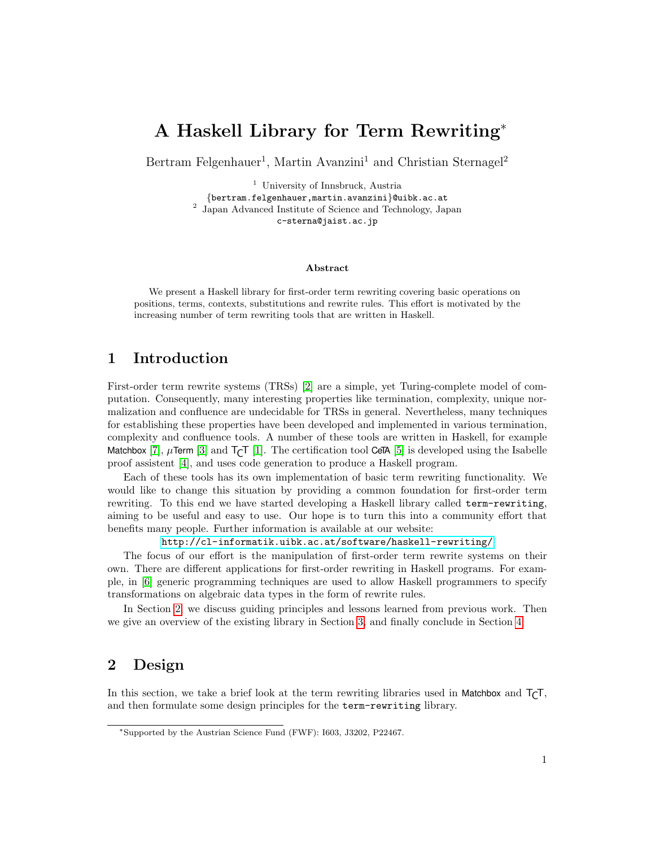# A Haskell Library for Term Rewriting<sup>∗</sup>

Bertram Felgenhauer<sup>1</sup>, Martin Avanzini<sup>1</sup> and Christian Sternagel<sup>2</sup>

<sup>1</sup> University of Innsbruck, Austria {bertram.felgenhauer,martin.avanzini}@uibk.ac.at 2 Japan Advanced Institute of Science and Technology, Japan c-sterna@jaist.ac.jp

#### Abstract

We present a Haskell library for first-order term rewriting covering basic operations on positions, terms, contexts, substitutions and rewrite rules. This effort is motivated by the increasing number of term rewriting tools that are written in Haskell.

# 1 Introduction

First-order term rewrite systems (TRSs) [\[2\]](#page-4-0) are a simple, yet Turing-complete model of computation. Consequently, many interesting properties like termination, complexity, unique normalization and confluence are undecidable for TRSs in general. Nevertheless, many techniques for establishing these properties have been developed and implemented in various termination, complexity and confluence tools. A number of these tools are written in Haskell, for example Matchbox  $[7]$ ,  $\mu$ Term  $[3]$  and  $T\tau$  [\[1\]](#page-4-1). The certification tool CeTA  $[5]$  is developed using the Isabelle proof assistent [\[4\]](#page-5-3), and uses code generation to produce a Haskell program.

Each of these tools has its own implementation of basic term rewriting functionality. We would like to change this situation by providing a common foundation for first-order term rewriting. To this end we have started developing a Haskell library called term-rewriting, aiming to be useful and easy to use. Our hope is to turn this into a community effort that benefits many people. Further information is available at our website:

<http://cl-informatik.uibk.ac.at/software/haskell-rewriting/>

The focus of our effort is the manipulation of first-order term rewrite systems on their own. There are different applications for first-order rewriting in Haskell programs. For example, in [\[6\]](#page-5-4) generic programming techniques are used to allow Haskell programmers to specify transformations on algebraic data types in the form of rewrite rules.

In Section [2,](#page-0-0) we discuss guiding principles and lessons learned from previous work. Then we give an overview of the existing library in Section [3,](#page-2-0) and finally conclude in Section [4.](#page-4-2)

# <span id="page-0-0"></span>2 Design

In this section, we take a brief look at the term rewriting libraries used in Matchbox and  $T<sub>CT</sub>$ , and then formulate some design principles for the term-rewriting library.

<sup>∗</sup>Supported by the Austrian Science Fund (FWF): I603, J3202, P22467.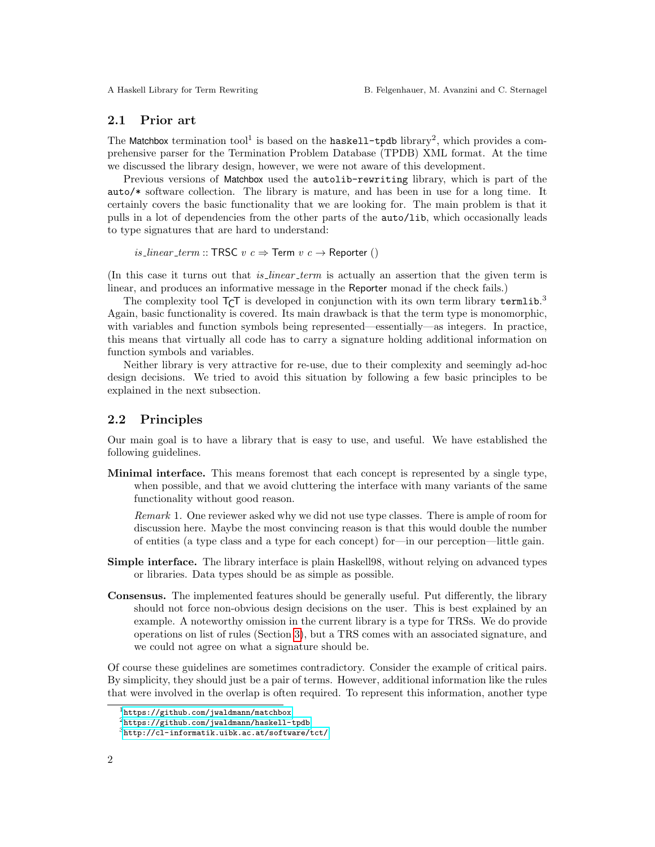#### 2.1 Prior art

The Matchbox termination  $\text{tool}^1$  is based on the haskell-tpdb library<sup>2</sup>, which provides a comprehensive parser for the Termination Problem Database (TPDB) XML format. At the time we discussed the library design, however, we were not aware of this development.

Previous versions of Matchbox used the autolib-rewriting library, which is part of the auto/\* software collection. The library is mature, and has been in use for a long time. It certainly covers the basic functionality that we are looking for. The main problem is that it pulls in a lot of dependencies from the other parts of the auto/lib, which occasionally leads to type signatures that are hard to understand:

is *linear term* :: TRSC  $v c \Rightarrow$  Term  $v c \rightarrow$  Reporter ()

(In this case it turns out that *is linear term* is actually an assertion that the given term is linear, and produces an informative message in the Reporter monad if the check fails.)

The complexity tool  $T_{\mathsf{C}}$ T is developed in conjunction with its own term library termlib.<sup>3</sup> Again, basic functionality is covered. Its main drawback is that the term type is monomorphic, with variables and function symbols being represented—essentially—as integers. In practice, this means that virtually all code has to carry a signature holding additional information on function symbols and variables.

Neither library is very attractive for re-use, due to their complexity and seemingly ad-hoc design decisions. We tried to avoid this situation by following a few basic principles to be explained in the next subsection.

#### 2.2 Principles

Our main goal is to have a library that is easy to use, and useful. We have established the following guidelines.

Minimal interface. This means foremost that each concept is represented by a single type, when possible, and that we avoid cluttering the interface with many variants of the same functionality without good reason.

Remark 1. One reviewer asked why we did not use type classes. There is ample of room for discussion here. Maybe the most convincing reason is that this would double the number of entities (a type class and a type for each concept) for—in our perception—little gain.

- Simple interface. The library interface is plain Haskell98, without relying on advanced types or libraries. Data types should be as simple as possible.
- Consensus. The implemented features should be generally useful. Put differently, the library should not force non-obvious design decisions on the user. This is best explained by an example. A noteworthy omission in the current library is a type for TRSs. We do provide operations on list of rules (Section [3\)](#page-2-1), but a TRS comes with an associated signature, and we could not agree on what a signature should be.

Of course these guidelines are sometimes contradictory. Consider the example of critical pairs. By simplicity, they should just be a pair of terms. However, additional information like the rules that were involved in the overlap is often required. To represent this information, another type

<sup>1</sup><https://github.com/jwaldmann/matchbox>

<sup>2</sup><https://github.com/jwaldmann/haskell-tpdb>

 $3$ <http://cl-informatik.uibk.ac.at/software/tct/>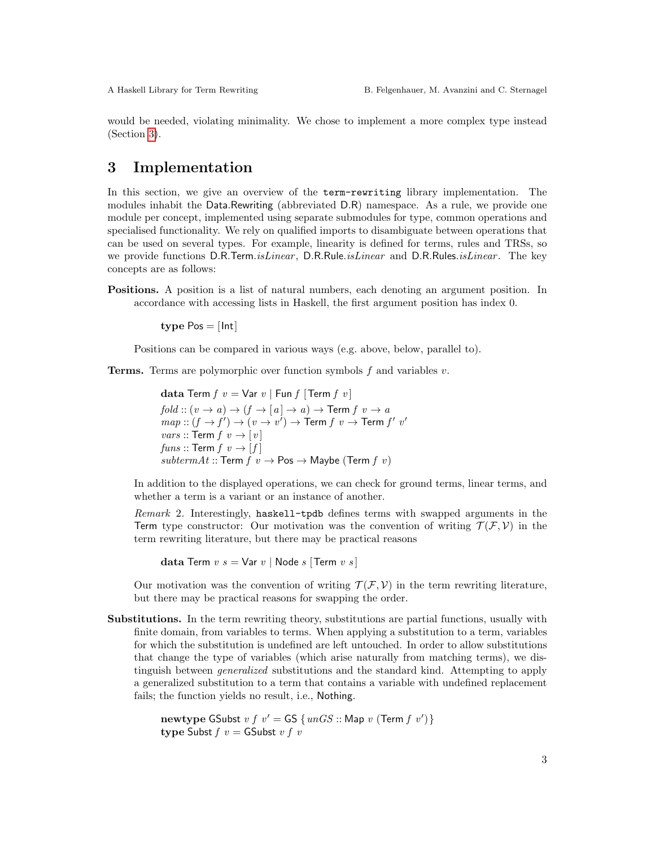would be needed, violating minimality. We chose to implement a more complex type instead (Section [3\)](#page-2-1).

# <span id="page-2-0"></span>3 Implementation

In this section, we give an overview of the term-rewriting library implementation. The modules inhabit the Data.Rewriting (abbreviated D.R) namespace. As a rule, we provide one module per concept, implemented using separate submodules for type, common operations and specialised functionality. We rely on qualified imports to disambiguate between operations that can be used on several types. For example, linearity is defined for terms, rules and TRSs, so we provide functions D.R.Term.*isLinear*, D.R.Rule.*isLinear* and D.R.Rules.*isLinear*. The key concepts are as follows:

Positions. A position is a list of natural numbers, each denoting an argument position. In accordance with accessing lists in Haskell, the first argument position has index 0.

type  $Pos = [Int]$ 

Positions can be compared in various ways (e.g. above, below, parallel to).

**Terms.** Terms are polymorphic over function symbols  $f$  and variables  $v$ .

```
data Term f \ v = \text{Var} \ v \mid \text{Fun} \ f \ [\text{Term} \ f \ v]fold :: (v \rightarrow a) \rightarrow (f \rightarrow [a] \rightarrow a) \rightarrow Term f v \rightarrow amap:: (f \rightarrow f') \rightarrow (v \rightarrow v') \rightarrow Term f v \rightarrow Term f' v'vars :: Term f v \rightarrow [v]funs :: \mathsf{Term} f v \rightarrow [f]subtermAt :: Term f \thinspace v \rightarrow Pos \rightarrow Maybe (Term f \thinspace v)
```
In addition to the displayed operations, we can check for ground terms, linear terms, and whether a term is a variant or an instance of another.

<span id="page-2-1"></span>Remark 2. Interestingly, haskell-tpdb defines terms with swapped arguments in the Term type constructor: Our motivation was the convention of writing  $\mathcal{T}(\mathcal{F}, \mathcal{V})$  in the term rewriting literature, but there may be practical reasons

data Term  $v s = \text{Var } v |$  Node s [Term  $v s$ ]

Our motivation was the convention of writing  $\mathcal{T}(\mathcal{F}, \mathcal{V})$  in the term rewriting literature, but there may be practical reasons for swapping the order.

Substitutions. In the term rewriting theory, substitutions are partial functions, usually with finite domain, from variables to terms. When applying a substitution to a term, variables for which the substitution is undefined are left untouched. In order to allow substitutions that change the type of variables (which arise naturally from matching terms), we distinguish between generalized substitutions and the standard kind. Attempting to apply a generalized substitution to a term that contains a variable with undefined replacement fails; the function yields no result, i.e., Nothing.

```
newtype GSubst v f v' = GS \{unGS :: Map v (Term f v')\}type Subst f \, v = GSubst v \, f \, v
```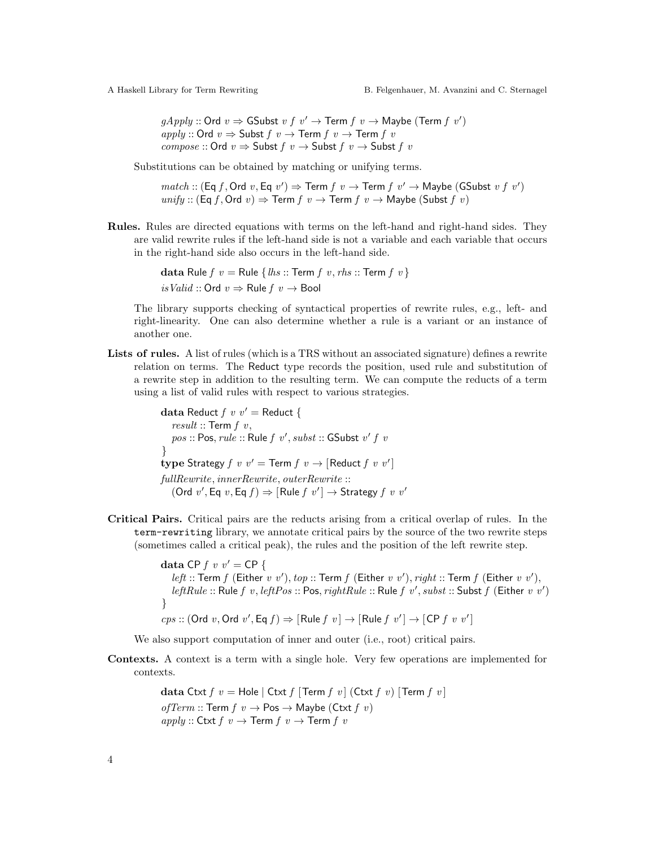$gApply::Ord v \Rightarrow$  GSubst  $v f v' \rightarrow Term f v \rightarrow Maybe (Term f v')$ apply :: Ord  $v \Rightarrow$  Subst  $f \ v \rightarrow$  Term  $f \ v \rightarrow$  Term  $f \ v$ compose :: Ord  $v \Rightarrow$  Subst  $f \circ v \rightarrow$  Subst  $f \circ v$ 

Substitutions can be obtained by matching or unifying terms.

$$
match :: (\text{Eq } f, \text{Ord } v, \text{Eq } v') \Rightarrow \text{Term } f \ v \rightarrow \text{Term } f \ v' \rightarrow \text{Maybe (GSubst } v \ f \ v')
$$
  
 $unify :: (\text{Eq } f, \text{Ord } v) \Rightarrow \text{Term } f \ v \rightarrow \text{Term } f \ v \rightarrow \text{Maybe (Subst } f \ v)$ 

Rules. Rules are directed equations with terms on the left-hand and right-hand sides. They are valid rewrite rules if the left-hand side is not a variable and each variable that occurs in the right-hand side also occurs in the left-hand side.

> data Rule  $f \, v =$  Rule  $\{ h s ::$  Term  $f \, v, r h s ::$  Term  $f \, v \}$ is Valid :: Ord  $v \Rightarrow$  Rule  $f v \rightarrow$  Bool

The library supports checking of syntactical properties of rewrite rules, e.g., left- and right-linearity. One can also determine whether a rule is a variant or an instance of another one.

Lists of rules. A list of rules (which is a TRS without an associated signature) defines a rewrite relation on terms. The Reduct type records the position, used rule and substitution of a rewrite step in addition to the resulting term. We can compute the reducts of a term using a list of valid rules with respect to various strategies.

> data Reduct  $f v v' =$  Reduct {  $result::$  Term  $f\,v$ ,  $pos :: Pos, rule :: Rule f v', *subset* :: GSubst v' f v'$ } type Strategy  $f \, v \, v' = \text{Term } f \, v \rightarrow [\text{Reduct } f \, v \, v']$ fullRewrite, innerRewrite, outerRewrite ::  $(Ord v', Eq v, Eq f) \Rightarrow [Rule f v'] \rightarrow Strategy f v v'$

Critical Pairs. Critical pairs are the reducts arising from a critical overlap of rules. In the term-rewriting library, we annotate critical pairs by the source of the two rewrite steps (sometimes called a critical peak), the rules and the position of the left rewrite step.

> data CP  $f$  v  $v' =$  CP  $\{$ *left* :: Term f (Either v v'), top :: Term f (Either v v'), right :: Term f (Either v v'), *leftRule* :: Rule  $f$  v, *leftPos* :: Pos,  $rightRule$  :: Rule  $f$  v', subst :: Subst  $f$  (Either v v') }  $cps::(Ord v, Ord v', Eq f) \Rightarrow [Rule f v] \rightarrow [Rule f v'] \rightarrow [CP f v v']$

We also support computation of inner and outer (i.e., root) critical pairs.

Contexts. A context is a term with a single hole. Very few operations are implemented for contexts.

> data Ctxt  $f v =$  Hole | Ctxt  $f$  | Term  $f v$  | (Ctxt  $f v$ ) | Term  $f v$  | ofTerm :: Term  $f \thinspace v \rightarrow \text{Pos} \rightarrow \text{Maybe}$  (Ctxt  $f \thinspace v$ )  $apply :: \textsf{Ctxt} f v \rightarrow \textsf{Term} f v \rightarrow \textsf{Term} f v$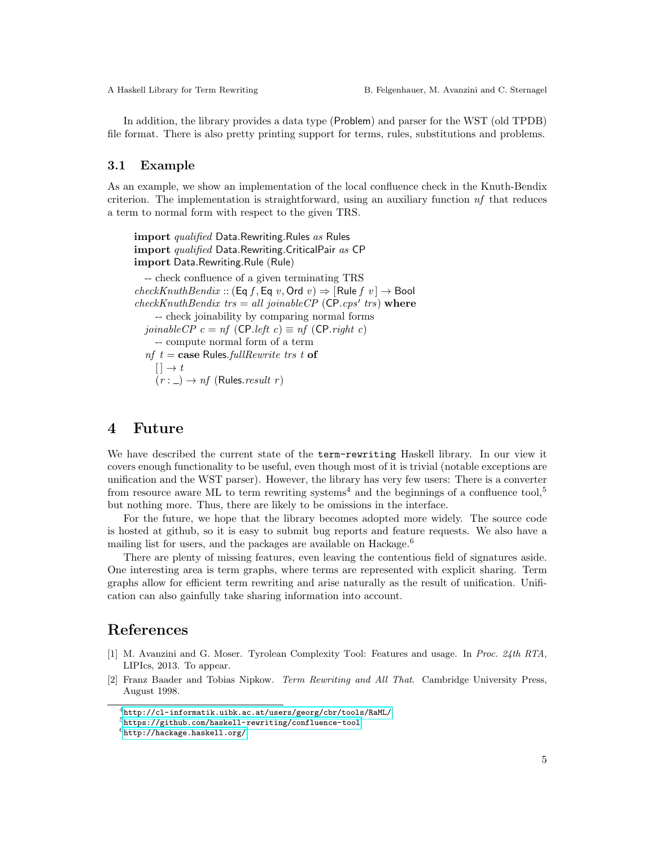In addition, the library provides a data type (Problem) and parser for the WST (old TPDB) file format. There is also pretty printing support for terms, rules, substitutions and problems.

#### 3.1 Example

As an example, we show an implementation of the local confluence check in the Knuth-Bendix criterion. The implementation is straightforward, using an auxiliary function  $nf$  that reduces a term to normal form with respect to the given TRS.

import qualified Data.Rewriting.Rules as Rules import qualified Data.Rewriting.CriticalPair as CP import Data.Rewriting.Rule (Rule) -- check confluence of a given terminating TRS

 $checkKnuthBendix :: (Eq f, Eq v, Ord v) \Rightarrow [Rule f v] \rightarrow Bool$  $checkKnuthBendix$   $trs = all\ joinable CP$  (CP.cps' trs) where -- check joinability by comparing normal forms joinableCP  $c = nf$  (CP.left  $c \equiv nf$  (CP.right c) -- compute normal form of a term  $nf$   $t = \text{case Rules.fullRewrite}$  trs t of  $[ ] \rightarrow t$  $(r : \_) \rightarrow nf$  (Rules. *result r*)

### <span id="page-4-2"></span>4 Future

We have described the current state of the term-rewriting Haskell library. In our view it covers enough functionality to be useful, even though most of it is trivial (notable exceptions are unification and the WST parser). However, the library has very few users: There is a converter from resource aware ML to term rewriting systems<sup>4</sup> and the beginnings of a confluence tool,<sup>5</sup> but nothing more. Thus, there are likely to be omissions in the interface.

For the future, we hope that the library becomes adopted more widely. The source code is hosted at github, so it is easy to submit bug reports and feature requests. We also have a mailing list for users, and the packages are available on Hackage.<sup>6</sup>

There are plenty of missing features, even leaving the contentious field of signatures aside. One interesting area is term graphs, where terms are represented with explicit sharing. Term graphs allow for efficient term rewriting and arise naturally as the result of unification. Unification can also gainfully take sharing information into account.

## References

- <span id="page-4-1"></span>[1] M. Avanzini and G. Moser. Tyrolean Complexity Tool: Features and usage. In Proc. 24th RTA, LIPIcs, 2013. To appear.
- <span id="page-4-0"></span>[2] Franz Baader and Tobias Nipkow. Term Rewriting and All That. Cambridge University Press, August 1998.

<sup>4</sup><http://cl-informatik.uibk.ac.at/users/georg/cbr/tools/RaML/>

<sup>5</sup><https://github.com/haskell-rewriting/confluence-tool>

 $6$ <http://hackage.haskell.org/>